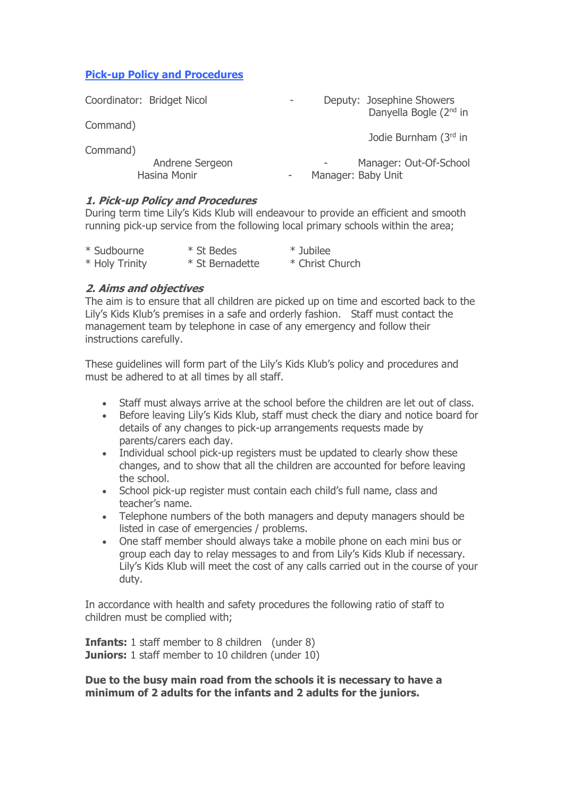## **Pick-up Policy and Procedures**

| Coordinator: Bridget Nicol      | Deputy: Josephine Showers<br>Danyella Bogle (2 <sup>nd</sup> in |
|---------------------------------|-----------------------------------------------------------------|
| Command)                        |                                                                 |
| Command)                        | Jodie Burnham (3rd in                                           |
| Andrene Sergeon<br>Hasina Monir | Manager: Out-Of-School<br>Manager: Baby Unit                    |
| Dick-up Doliey and Drocodures   |                                                                 |

## **1. Pick-up Policy and Procedures**

During term time Lily's Kids Klub will endeavour to provide an efficient and smooth running pick-up service from the following local primary schools within the area;

| * Sudbourne    | * St Bedes      | * Jubilee       |
|----------------|-----------------|-----------------|
| * Holy Trinity | * St Bernadette | * Christ Church |

## **2. Aims and objectives**

The aim is to ensure that all children are picked up on time and escorted back to the Lily's Kids Klub's premises in a safe and orderly fashion. Staff must contact the management team by telephone in case of any emergency and follow their instructions carefully.

These guidelines will form part of the Lily's Kids Klub's policy and procedures and must be adhered to at all times by all staff.

- Staff must always arrive at the school before the children are let out of class.
- Before leaving Lily's Kids Klub, staff must check the diary and notice board for details of any changes to pick-up arrangements requests made by parents/carers each day.
- Individual school pick-up registers must be updated to clearly show these changes, and to show that all the children are accounted for before leaving the school.
- School pick-up register must contain each child's full name, class and teacher's name.
- Telephone numbers of the both managers and deputy managers should be listed in case of emergencies / problems.
- One staff member should always take a mobile phone on each mini bus or group each day to relay messages to and from Lily's Kids Klub if necessary. Lily's Kids Klub will meet the cost of any calls carried out in the course of your duty.

In accordance with health and safety procedures the following ratio of staff to children must be complied with;

**Infants:** 1 staff member to 8 children (under 8) **Juniors:** 1 staff member to 10 children (under 10)

**Due to the busy main road from the schools it is necessary to have a minimum of 2 adults for the infants and 2 adults for the juniors.**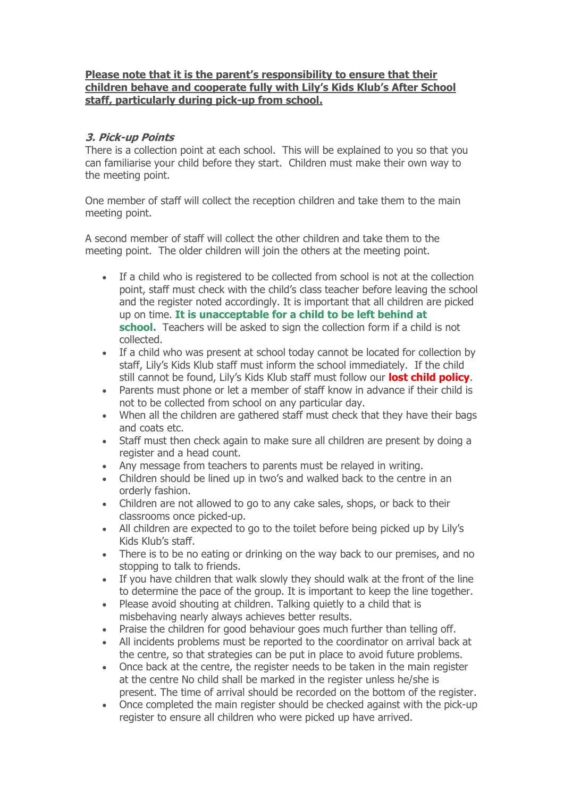### **Please note that it is the parent's responsibility to ensure that their children behave and cooperate fully with Lily's Kids Klub's After School staff, particularly during pick-up from school.**

# **3. Pick-up Points**

There is a collection point at each school. This will be explained to you so that you can familiarise your child before they start. Children must make their own way to the meeting point.

One member of staff will collect the reception children and take them to the main meeting point.

A second member of staff will collect the other children and take them to the meeting point. The older children will join the others at the meeting point.

- If a child who is registered to be collected from school is not at the collection point, staff must check with the child's class teacher before leaving the school and the register noted accordingly. It is important that all children are picked up on time. **It is unacceptable for a child to be left behind at school.** Teachers will be asked to sign the collection form if a child is not collected.
- If a child who was present at school today cannot be located for collection by staff, Lily's Kids Klub staff must inform the school immediately. If the child still cannot be found, Lily's Kids Klub staff must follow our **lost child policy**.
- Parents must phone or let a member of staff know in advance if their child is not to be collected from school on any particular day.
- When all the children are gathered staff must check that they have their bags and coats etc.
- Staff must then check again to make sure all children are present by doing a register and a head count.
- Any message from teachers to parents must be relayed in writing.
- Children should be lined up in two's and walked back to the centre in an orderly fashion.
- Children are not allowed to go to any cake sales, shops, or back to their classrooms once picked-up.
- All children are expected to go to the toilet before being picked up by Lily's Kids Klub's staff.
- There is to be no eating or drinking on the way back to our premises, and no stopping to talk to friends.
- If you have children that walk slowly they should walk at the front of the line to determine the pace of the group. It is important to keep the line together.
- Please avoid shouting at children. Talking quietly to a child that is misbehaving nearly always achieves better results.
- Praise the children for good behaviour goes much further than telling off.
- All incidents problems must be reported to the coordinator on arrival back at the centre, so that strategies can be put in place to avoid future problems.
- Once back at the centre, the register needs to be taken in the main register at the centre No child shall be marked in the register unless he/she is present. The time of arrival should be recorded on the bottom of the register.
- Once completed the main register should be checked against with the pick-up register to ensure all children who were picked up have arrived.